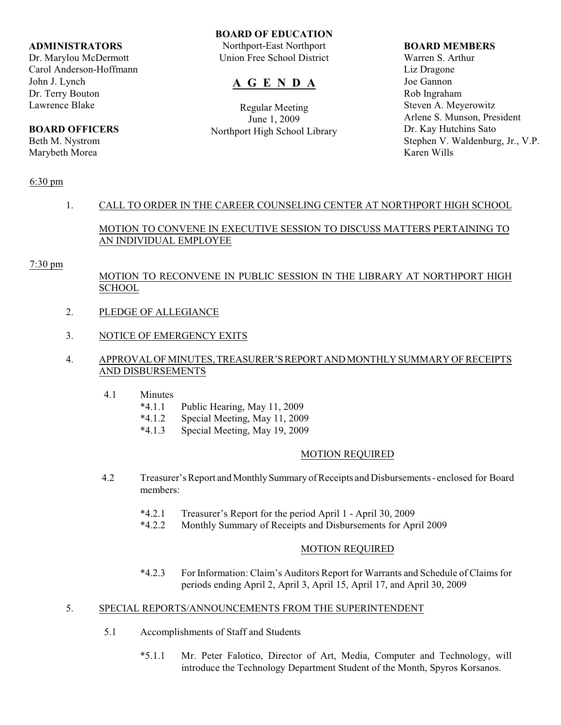#### **ADMINISTRATORS**

Dr. Marylou McDermott Carol Anderson-Hoffmann John J. Lynch Dr. Terry Bouton Lawrence Blake

# **BOARD OFFICERS**

Beth M. Nystrom Marybeth Morea

#### **BOARD OF EDUCATION**

Northport-East Northport Union Free School District

# **A G E N D A**

Regular Meeting June 1, 2009 Northport High School Library

#### **BOARD MEMBERS**

Warren S. Arthur Liz Dragone Joe Gannon Rob Ingraham Steven A. Meyerowitz Arlene S. Munson, President Dr. Kay Hutchins Sato Stephen V. Waldenburg, Jr., V.P. Karen Wills

#### 6:30 pm

## 1. CALL TO ORDER IN THE CAREER COUNSELING CENTER AT NORTHPORT HIGH SCHOOL

## MOTION TO CONVENE IN EXECUTIVE SESSION TO DISCUSS MATTERS PERTAINING TO AN INDIVIDUAL EMPLOYEE

#### 7:30 pm

## MOTION TO RECONVENE IN PUBLIC SESSION IN THE LIBRARY AT NORTHPORT HIGH **SCHOOL**

- 2. PLEDGE OF ALLEGIANCE
- 3. NOTICE OF EMERGENCY EXITS

### 4. APPROVAL OF MINUTES, TREASURER'S REPORT AND MONTHLY SUMMARY OF RECEIPTS AND DISBURSEMENTS

- 4.1 Minutes
	- \*4.1.1 Public Hearing, May 11, 2009
	- \*4.1.2 Special Meeting, May 11, 2009
	- \*4.1.3 Special Meeting, May 19, 2009

#### MOTION REQUIRED

- 4.2 Treasurer's Report and Monthly Summary of Receipts and Disbursements enclosed for Board members:
	- \*4.2.1 Treasurer's Report for the period April 1 April 30, 2009
	- \*4.2.2 Monthly Summary of Receipts and Disbursements for April 2009

### MOTION REQUIRED

\*4.2.3 For Information: Claim's Auditors Report for Warrants and Schedule of Claims for periods ending April 2, April 3, April 15, April 17, and April 30, 2009

#### 5. SPECIAL REPORTS/ANNOUNCEMENTS FROM THE SUPERINTENDENT

- 5.1 Accomplishments of Staff and Students
	- \*5.1.1 Mr. Peter Falotico, Director of Art, Media, Computer and Technology, will introduce the Technology Department Student of the Month, Spyros Korsanos.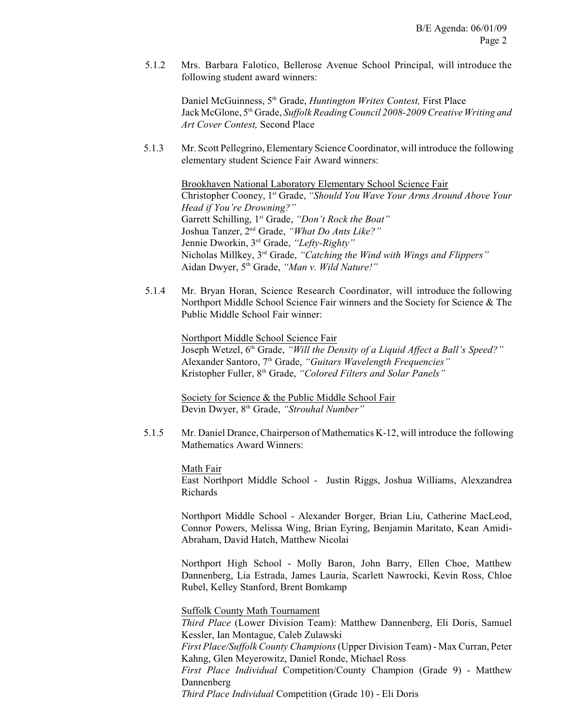5.1.2 Mrs. Barbara Falotico, Bellerose Avenue School Principal, will introduce the following student award winners:

Daniel McGuinness, 5<sup>th</sup> Grade, *Huntington Writes Contest*, First Place Jack McGlone, 5<sup>th</sup> Grade, *Suffolk Reading Council 2008-2009 Creative Writing and Art Cover Contest,* Second Place

 5.1.3 Mr. Scott Pellegrino, Elementary Science Coordinator, will introduce the following elementary student Science Fair Award winners:

Brookhaven National Laboratory Elementary School Science Fair Christopher Cooney, 1<sup>st</sup> Grade, "Should You Wave Your Arms Around Above Your *Head if You're Drowning?"* Garrett Schilling, 1<sup>st</sup> Grade, "Don't Rock the Boat" Joshua Tanzer, 2<sup>nd</sup> Grade, "What Do Ants Like?" Jennie Dworkin, 3<sup>rd</sup> Grade, "Lefty-Righty" Nicholas Millkey, 3<sup>rd</sup> Grade, "Catching the Wind with Wings and Flippers" Aidan Dwyer, 5<sup>th</sup> Grade, "Man v. Wild Nature!"

5.1.4 Mr. Bryan Horan, Science Research Coordinator, will introduce the following Northport Middle School Science Fair winners and the Society for Science & The Public Middle School Fair winner:

> Northport Middle School Science Fair Joseph Wetzel, 6<sup>th</sup> Grade, *"Will the Density of a Liquid Affect a Ball's Speed?"* Alexander Santoro, 7<sup>th</sup> Grade, "Guitars Wavelength Frequencies" Kristopher Fuller, 8<sup>th</sup> Grade, "Colored Filters and Solar Panels"

Society for Science & the Public Middle School Fair Devin Dwyer, 8<sup>th</sup> Grade, "Strouhal Number"

 5.1.5 Mr. Daniel Drance,Chairperson of Mathematics K-12, will introduce the following Mathematics Award Winners:

Math Fair

East Northport Middle School - Justin Riggs, Joshua Williams, Alexzandrea Richards

Northport Middle School - Alexander Borger, Brian Liu, Catherine MacLeod, Connor Powers, Melissa Wing, Brian Eyring, Benjamin Maritato, Kean Amidi-Abraham, David Hatch, Matthew Nicolai

Northport High School - Molly Baron, John Barry, Ellen Choe, Matthew Dannenberg, Lia Estrada, James Lauria, Scarlett Nawrocki, Kevin Ross, Chloe Rubel, Kelley Stanford, Brent Bomkamp

#### Suffolk County Math Tournament

*Third Place* (Lower Division Team): Matthew Dannenberg, Eli Doris, Samuel Kessler, Ian Montague, Caleb Zulawski

*First Place/Suffolk County Champions* (Upper Division Team) - Max Curran, Peter Kahng, Glen Meyerowitz, Daniel Ronde, Michael Ross

*First Place Individual* Competition/County Champion (Grade 9) - Matthew Dannenberg

*Third Place Individual* Competition (Grade 10) - Eli Doris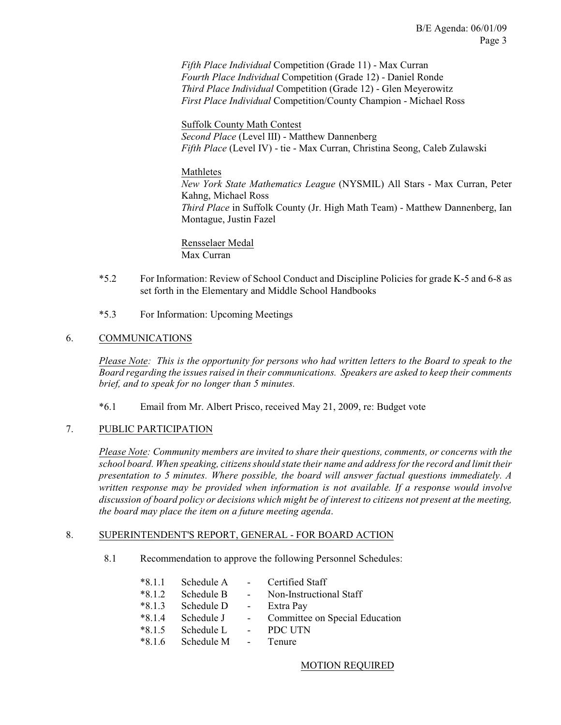*Fifth Place Individual* Competition (Grade 11) - Max Curran *Fourth Place Individual* Competition (Grade 12) - Daniel Ronde *Third Place Individual* Competition (Grade 12) - Glen Meyerowitz *First Place Individual* Competition/County Champion - Michael Ross

Suffolk County Math Contest *Second Place* (Level III) - Matthew Dannenberg *Fifth Place* (Level IV) - tie - Max Curran, Christina Seong, Caleb Zulawski

#### Mathletes

*New York State Mathematics League* (NYSMIL) All Stars - Max Curran, Peter Kahng, Michael Ross *Third Place* in Suffolk County (Jr. High Math Team) - Matthew Dannenberg, Ian Montague, Justin Fazel

Rensselaer Medal Max Curran

- \*5.2 For Information: Review of School Conduct and Discipline Policies for grade K-5 and 6-8 as set forth in the Elementary and Middle School Handbooks
- \*5.3 For Information: Upcoming Meetings

### 6. COMMUNICATIONS

*Please Note: This is the opportunity for persons who had written letters to the Board to speak to the Board regarding the issues raised in their communications. Speakers are asked to keep their comments brief, and to speak for no longer than 5 minutes.*

\*6.1 Email from Mr. Albert Prisco, received May 21, 2009, re: Budget vote

#### 7. PUBLIC PARTICIPATION

*Please Note: Community members are invited to share their questions, comments, or concerns with the school board. When speaking, citizensshould state their name and address for the record and limit their presentation to 5 minutes. Where possible, the board will answer factual questions immediately. A written response may be provided when information is not available. If a response would involve discussion of board policy or decisions which might be of interest to citizens not present at the meeting, the board may place the item on a future meeting agenda*.

#### 8. SUPERINTENDENT'S REPORT, GENERAL - FOR BOARD ACTION

8.1 Recommendation to approve the following Personnel Schedules:

| $*8.1.1$ | Schedule A -        |                         | Certified Staff                |
|----------|---------------------|-------------------------|--------------------------------|
| $*8.1.2$ | Schedule B          | $\sim 100$              | Non-Instructional Staff        |
| $*8.1.3$ | Schedule D          | $\sim 100$ km s $^{-1}$ | Extra Pay                      |
| $*814$   | Schedule J          | $\sim 100$              | Committee on Special Education |
| $*8.1.5$ | Schedule L          | $\sim$ 10 $\pm$         | PDC UTN                        |
| $*816$   | Schedule M - Tenure |                         |                                |

#### MOTION REQUIRED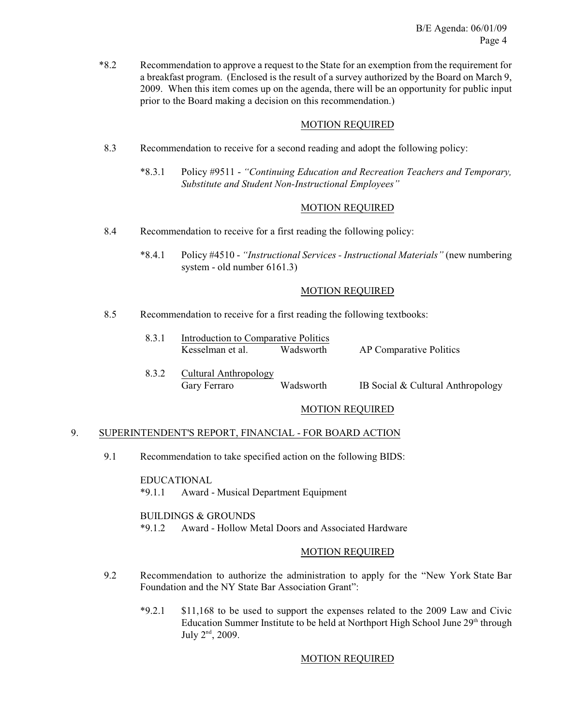\*8.2 Recommendation to approve a request to the State for an exemption from the requirement for a breakfast program. (Enclosed is the result of a survey authorized by the Board on March 9, 2009. When this item comes up on the agenda, there will be an opportunity for public input prior to the Board making a decision on this recommendation.)

#### MOTION REQUIRED

- 8.3 Recommendation to receive for a second reading and adopt the following policy:
	- \*8.3.1 Policy #9511 *"Continuing Education and Recreation Teachers and Temporary, Substitute and Student Non-Instructional Employees"*

### MOTION REQUIRED

- 8.4 Recommendation to receive for a first reading the following policy:
	- \*8.4.1 Policy #4510 *"Instructional Services Instructional Materials"* (new numbering system - old number 6161.3)

#### MOTION REQUIRED

- 8.5 Recommendation to receive for a first reading the following textbooks:
	- 8.3.1 Introduction to Comparative Politics Kesselman et al. Wadsworth AP Comparative Politics
	- 8.3.2 Cultural Anthropology Gary Ferraro Wadsworth IB Social & Cultural Anthropology

#### MOTION REQUIRED

#### 9. SUPERINTENDENT'S REPORT, FINANCIAL - FOR BOARD ACTION

9.1 Recommendation to take specified action on the following BIDS:

EDUCATIONAL \*9.1.1 Award - Musical Department Equipment

#### BUILDINGS & GROUNDS

\*9.1.2 Award - Hollow Metal Doors and Associated Hardware

### MOTION REQUIRED

- 9.2 Recommendation to authorize the administration to apply for the "New York State Bar Foundation and the NY State Bar Association Grant":
	- \*9.2.1 \$11,168 to be used to support the expenses related to the 2009 Law and Civic Education Summer Institute to be held at Northport High School June 29<sup>th</sup> through July  $2<sup>nd</sup>$ , 2009.

#### MOTION REQUIRED